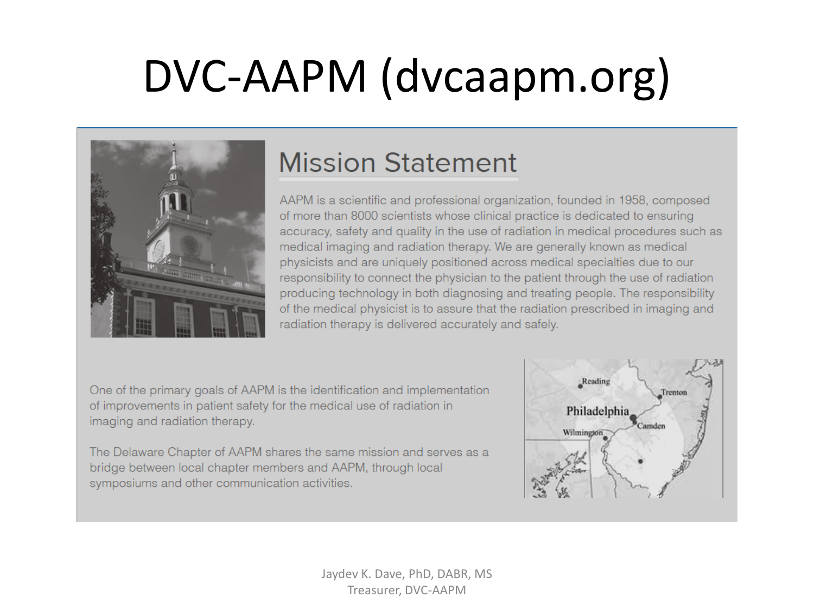# DVC-AAPM (dvcaapm.org)



#### **Mission Statement**

AAPM is a scientific and professional organization, founded in 1958, composed of more than 8000 scientists whose clinical practice is dedicated to ensuring accuracy, safety and quality in the use of radiation in medical procedures such as medical imaging and radiation therapy. We are generally known as medical physicists and are uniquely positioned across medical specialties due to our responsibility to connect the physician to the patient through the use of radiation producing technology in both diagnosing and treating people. The responsibility of the medical physicist is to assure that the radiation prescribed in imaging and radiation therapy is delivered accurately and safely.

One of the primary goals of AAPM is the identification and implementation of improvements in patient safety for the medical use of radiation in imaging and radiation therapy.

The Delaware Chapter of AAPM shares the same mission and serves as a bridge between local chapter members and AAPM, through local symposiums and other communication activities.

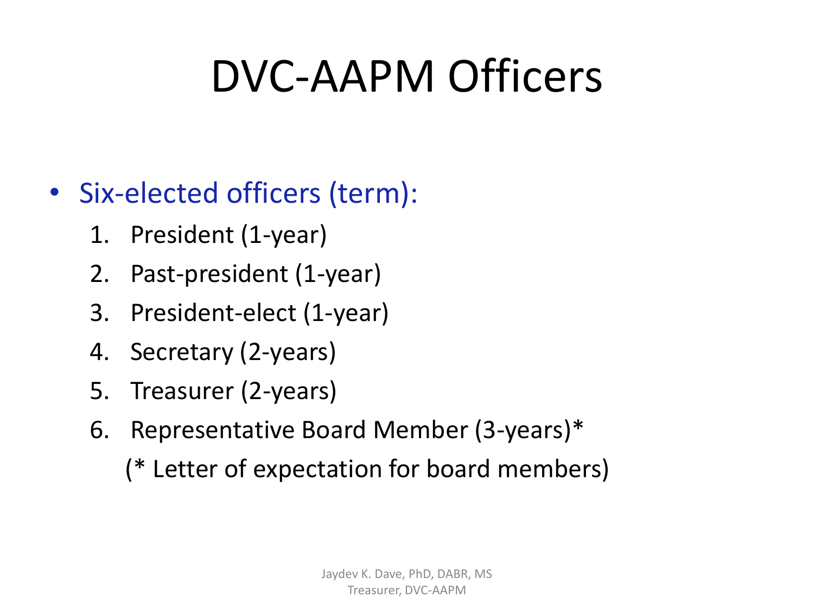# DVC-AAPM Officers

#### • Six-elected officers (term):

- 1. President (1-year)
- 2. Past-president (1-year)
- 3. President-elect (1-year)
- 4. Secretary (2-years)
- 5. Treasurer (2-years)
- 6. Representative Board Member (3-years)\*
	- (\* Letter of expectation for board members)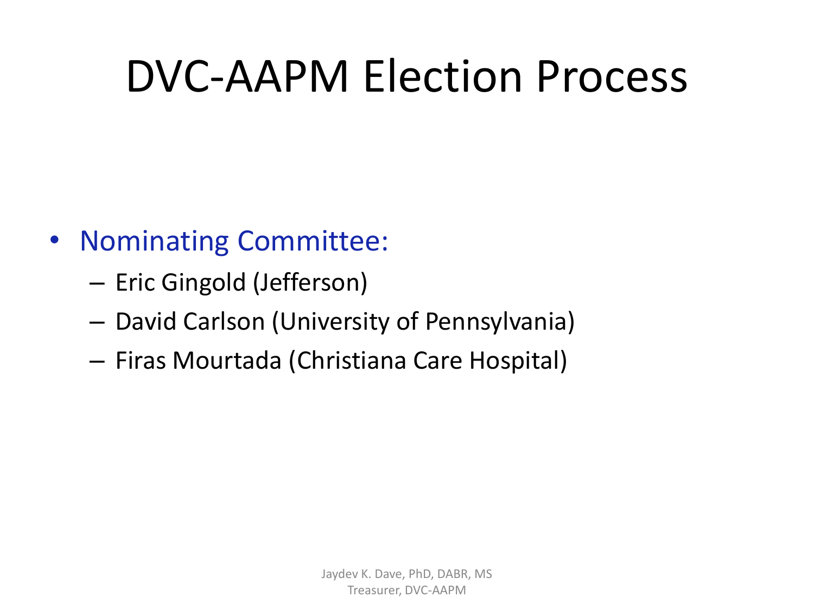# DVC-AAPM Election Process

- Nominating Committee:
	- Eric Gingold (Jefferson)
	- David Carlson (University of Pennsylvania)
	- Firas Mourtada (Christiana Care Hospital)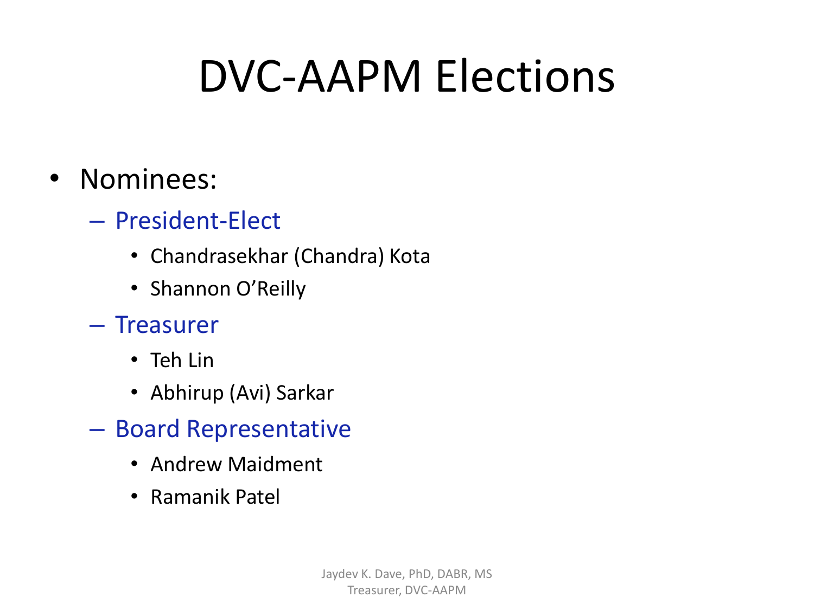# DVC-AAPM Elections

#### • Nominees:

- President-Elect
	- Chandrasekhar (Chandra) Kota
	- Shannon O'Reilly
- Treasurer
	- Teh Lin
	- Abhirup (Avi) Sarkar
- Board Representative
	- Andrew Maidment
	- Ramanik Patel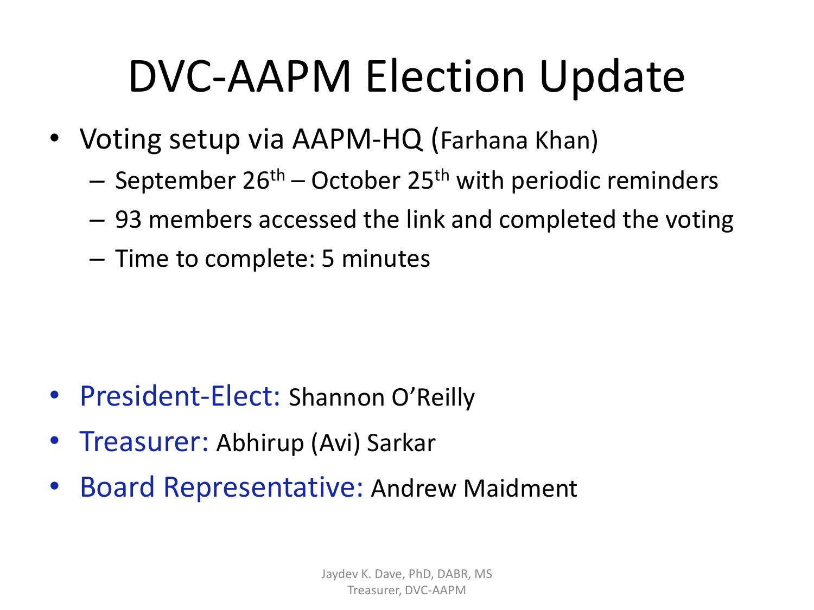# DVC-AAPM Election Update

- Voting setup via AAPM-HQ (Farhana Khan)
	- September  $26<sup>th</sup>$  October 25<sup>th</sup> with periodic reminders
	- 93 members accessed the link and completed the voting
	- Time to complete: 5 minutes

- President-Elect: Shannon O'Reilly
- Treasurer: Abhirup (Avi) Sarkar
- Board Representative: Andrew Maidment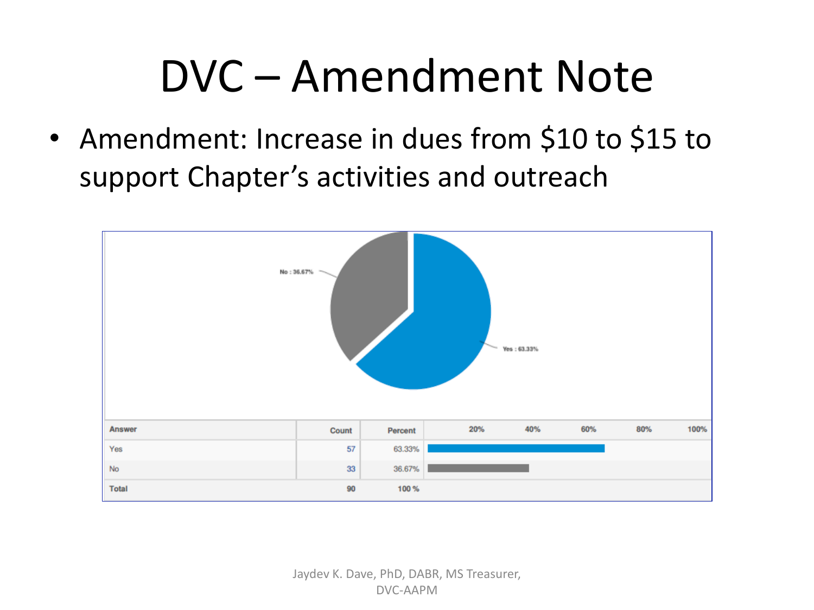# DVC – Amendment Note

• Amendment: Increase in dues from \$10 to \$15 to support Chapter's activities and outreach

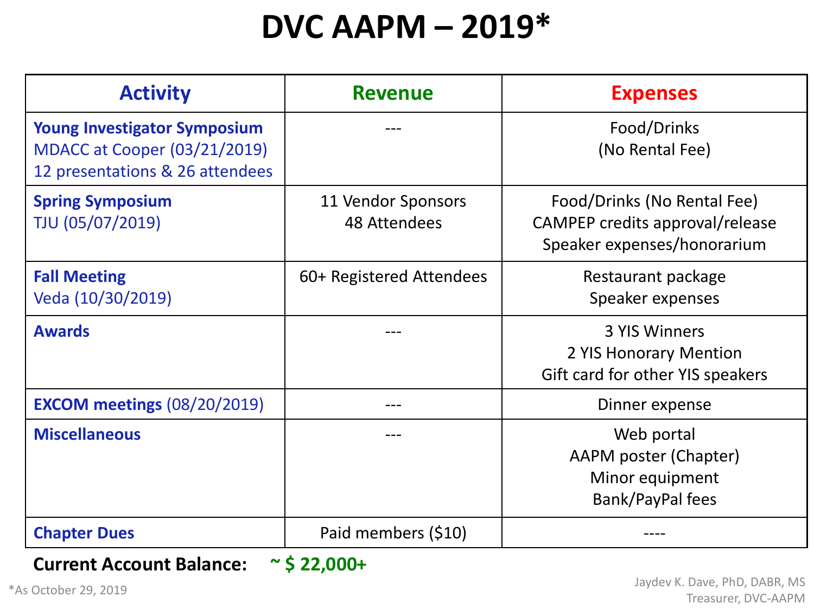### **DVC AAPM – 2019\***

| <b>Activity</b>                                                                                               | <b>Revenue</b>                            | <b>Expenses</b>                                                                               |  |  |
|---------------------------------------------------------------------------------------------------------------|-------------------------------------------|-----------------------------------------------------------------------------------------------|--|--|
| <b>Young Investigator Symposium</b><br><b>MDACC at Cooper (03/21/2019)</b><br>12 presentations & 26 attendees |                                           | Food/Drinks<br>(No Rental Fee)                                                                |  |  |
| <b>Spring Symposium</b><br>TJU (05/07/2019)                                                                   | 11 Vendor Sponsors<br><b>48 Attendees</b> | Food/Drinks (No Rental Fee)<br>CAMPEP credits approval/release<br>Speaker expenses/honorarium |  |  |
| <b>Fall Meeting</b><br>Veda (10/30/2019)                                                                      | 60+ Registered Attendees                  | Restaurant package<br>Speaker expenses                                                        |  |  |
| <b>Awards</b>                                                                                                 |                                           | 3 YIS Winners<br>2 YIS Honorary Mention<br>Gift card for other YIS speakers                   |  |  |
| <b>EXCOM meetings (08/20/2019)</b>                                                                            |                                           | Dinner expense                                                                                |  |  |
| <b>Miscellaneous</b>                                                                                          |                                           | Web portal<br>AAPM poster (Chapter)<br>Minor equipment<br>Bank/PayPal fees                    |  |  |
| <b>Chapter Dues</b>                                                                                           | Paid members (\$10)                       |                                                                                               |  |  |

#### **Current Account Balance: ~ \$ 22,000+**

\*As October 29, 2019

Jaydev K. Dave, PhD, DABR, MS Treasurer, DVC-AAPM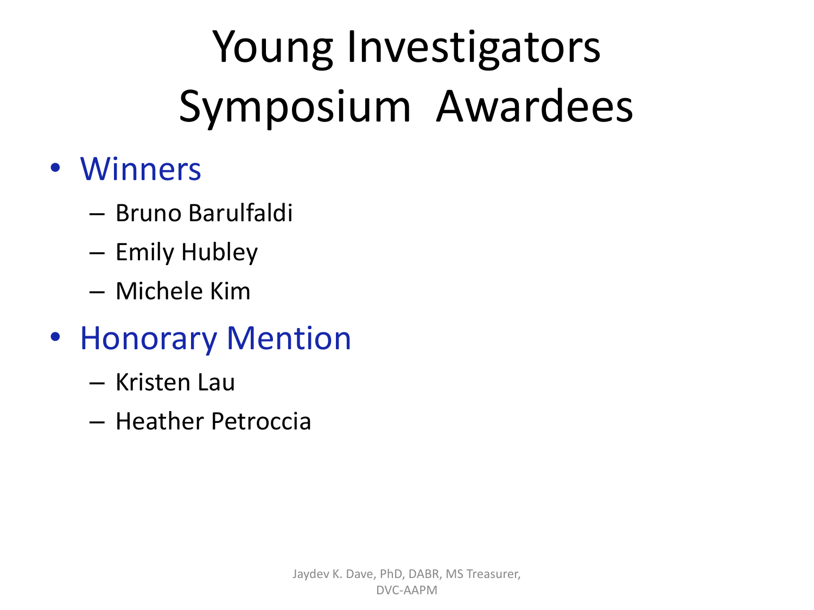# Young Investigators Symposium Awardees

#### • Winners

- Bruno Barulfaldi
- Emily Hubley
- Michele Kim
- Honorary Mention
	- Kristen Lau
	- Heather Petroccia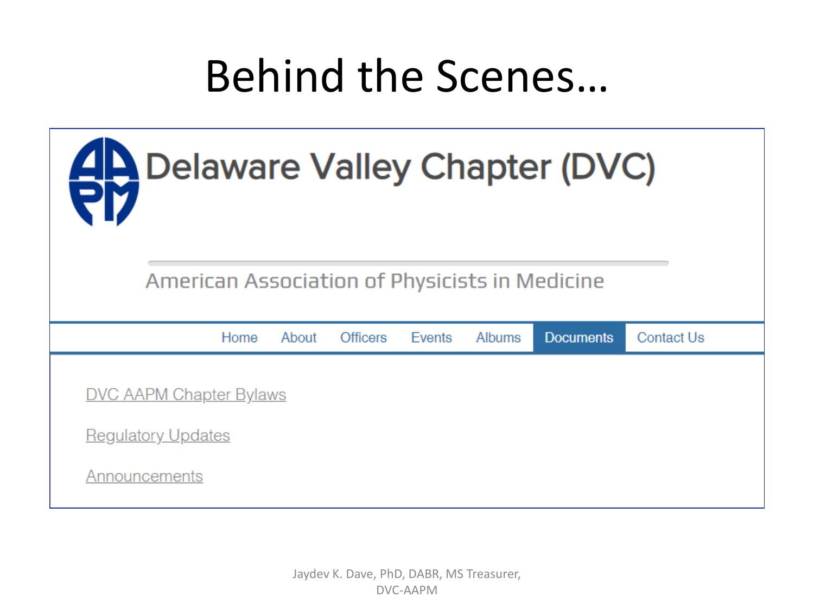## Behind the Scenes…



American Association of Physicists in Medicine

|                                | Home | About | Officers | Events | Albums | <b>Documents</b> | <b>Contact Us</b> |
|--------------------------------|------|-------|----------|--------|--------|------------------|-------------------|
|                                |      |       |          |        |        |                  |                   |
| <b>DVC AAPM Chapter Bylaws</b> |      |       |          |        |        |                  |                   |
| <b>Regulatory Updates</b>      |      |       |          |        |        |                  |                   |
| Announcements                  |      |       |          |        |        |                  |                   |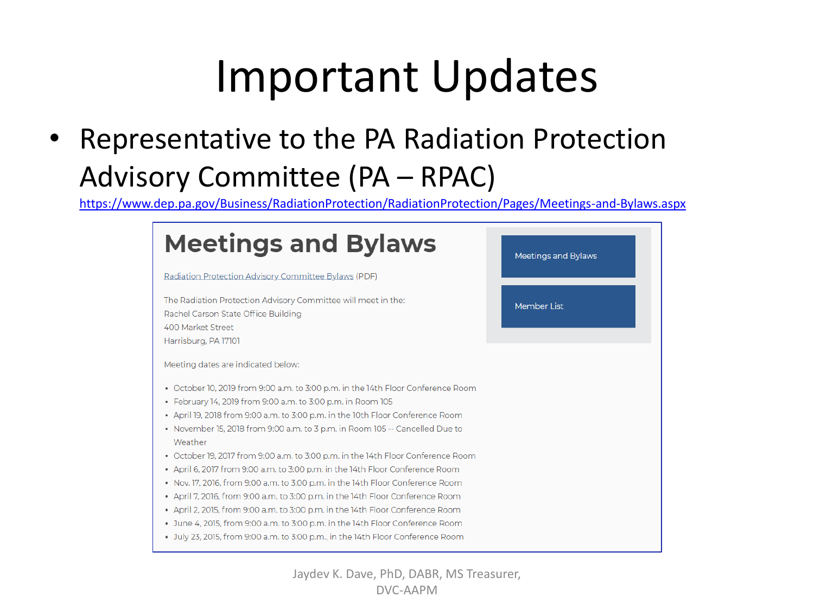# Important Updates

• Representative to the PA Radiation Protection Advisory Committee (PA – RPAC)

<https://www.dep.pa.gov/Business/RadiationProtection/RadiationProtection/Pages/Meetings-and-Bylaws.aspx>



Jaydev K. Dave, PhD, DABR, MS Treasurer, DVC-AAPM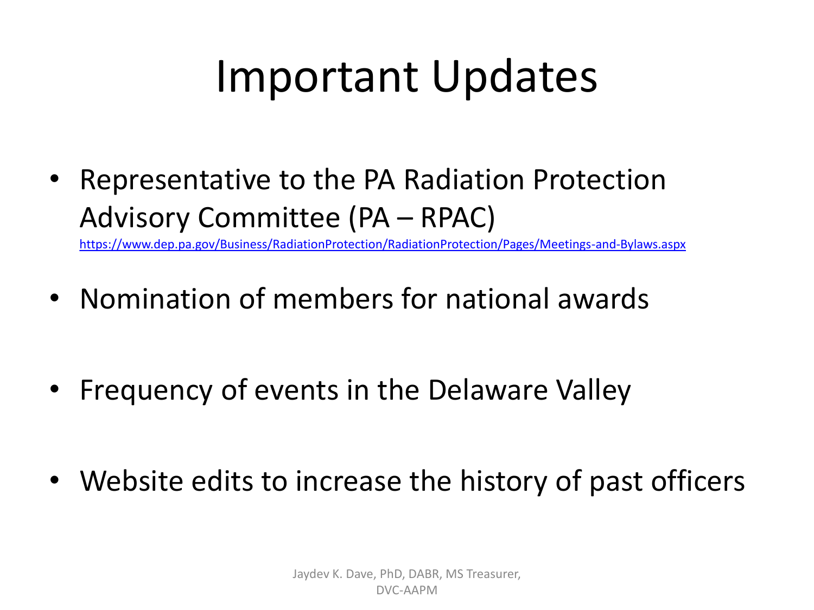# Important Updates

• Representative to the PA Radiation Protection Advisory Committee (PA – RPAC)

<https://www.dep.pa.gov/Business/RadiationProtection/RadiationProtection/Pages/Meetings-and-Bylaws.aspx>

- Nomination of members for national awards
- Frequency of events in the Delaware Valley
- Website edits to increase the history of past officers